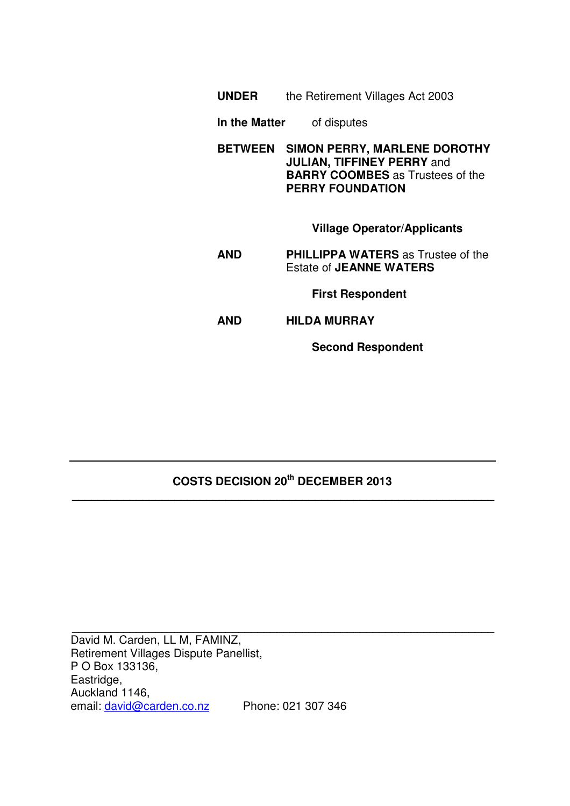|                | <b>UNDER</b> the Retirement Villages Act 2003                                                                                                  |
|----------------|------------------------------------------------------------------------------------------------------------------------------------------------|
|                | <b>In the Matter</b> of disputes                                                                                                               |
| <b>BETWEEN</b> | <b>SIMON PERRY, MARLENE DOROTHY</b><br><b>JULIAN, TIFFINEY PERRY and</b><br><b>BARRY COOMBES</b> as Trustees of the<br><b>PERRY FOUNDATION</b> |
|                | <b>Village Operator/Applicants</b>                                                                                                             |
| AND            | <b>PHILLIPPA WATERS</b> as Trustee of the<br><b>Estate of JEANNE WATERS</b>                                                                    |
|                | <b>First Respondent</b>                                                                                                                        |
| AND            | <b>HILDA MURRAY</b>                                                                                                                            |
|                | <b>Second Respondent</b>                                                                                                                       |

# **COSTS DECISION 20th DECEMBER 2013 \_\_\_\_\_\_\_\_\_\_\_\_\_\_\_\_\_\_\_\_\_\_\_\_\_\_\_\_\_\_\_\_\_\_\_\_\_\_\_\_\_\_\_\_\_\_\_\_\_\_\_\_\_\_\_\_\_\_\_\_\_\_\_\_\_\_**

**\_\_\_\_\_\_\_\_\_\_\_\_\_\_\_\_\_\_\_\_\_\_\_\_\_\_\_\_\_\_\_\_\_\_\_\_\_\_\_\_\_\_\_\_\_\_\_\_\_\_\_\_\_\_\_\_\_\_\_\_\_\_\_\_\_\_** 

David M. Carden, LL M, FAMINZ, Retirement Villages Dispute Panellist, P O Box 133136, Eastridge, Auckland 1146, email: david@carden.co.nz Phone: 021 307 346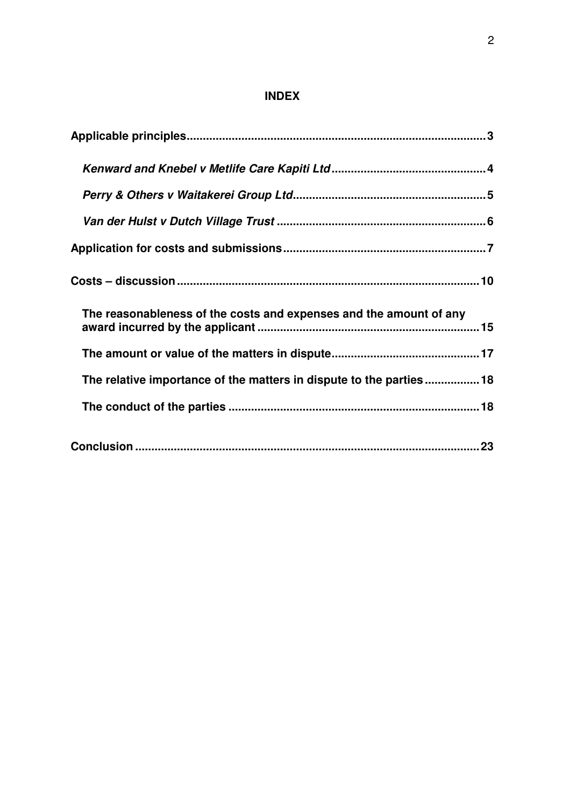# **INDEX**

| The reasonableness of the costs and expenses and the amount of any |  |
|--------------------------------------------------------------------|--|
|                                                                    |  |
| The relative importance of the matters in dispute to the parties18 |  |
|                                                                    |  |
|                                                                    |  |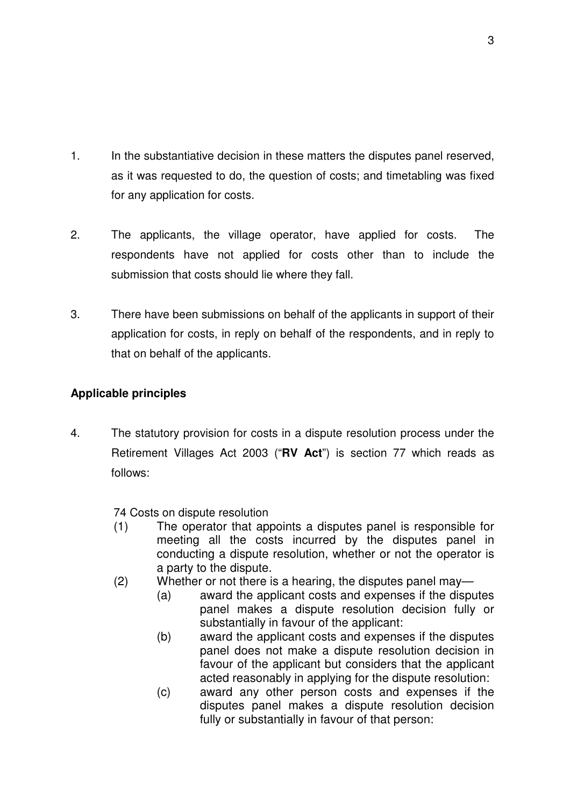- 1. In the substantiative decision in these matters the disputes panel reserved, as it was requested to do, the question of costs; and timetabling was fixed for any application for costs.
- 2. The applicants, the village operator, have applied for costs. The respondents have not applied for costs other than to include the submission that costs should lie where they fall.
- 3. There have been submissions on behalf of the applicants in support of their application for costs, in reply on behalf of the respondents, and in reply to that on behalf of the applicants.

## **Applicable principles**

4. The statutory provision for costs in a dispute resolution process under the Retirement Villages Act 2003 ("**RV Act**") is section 77 which reads as follows:

74 Costs on dispute resolution

- (1) The operator that appoints a disputes panel is responsible for meeting all the costs incurred by the disputes panel in conducting a dispute resolution, whether or not the operator is a party to the dispute.
- (2) Whether or not there is a hearing, the disputes panel may—
	- (a) award the applicant costs and expenses if the disputes panel makes a dispute resolution decision fully or substantially in favour of the applicant:
	- (b) award the applicant costs and expenses if the disputes panel does not make a dispute resolution decision in favour of the applicant but considers that the applicant acted reasonably in applying for the dispute resolution:
	- (c) award any other person costs and expenses if the disputes panel makes a dispute resolution decision fully or substantially in favour of that person: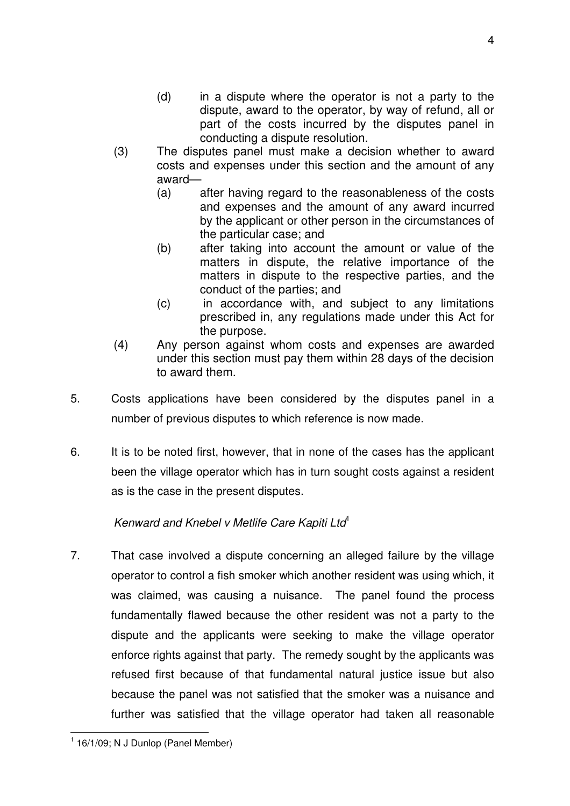- (d) in a dispute where the operator is not a party to the dispute, award to the operator, by way of refund, all or part of the costs incurred by the disputes panel in conducting a dispute resolution.
- (3) The disputes panel must make a decision whether to award costs and expenses under this section and the amount of any award—
	- (a) after having regard to the reasonableness of the costs and expenses and the amount of any award incurred by the applicant or other person in the circumstances of the particular case; and
	- (b) after taking into account the amount or value of the matters in dispute, the relative importance of the matters in dispute to the respective parties, and the conduct of the parties; and
	- (c) in accordance with, and subject to any limitations prescribed in, any regulations made under this Act for the purpose.
- (4) Any person against whom costs and expenses are awarded under this section must pay them within 28 days of the decision to award them.
- 5. Costs applications have been considered by the disputes panel in a number of previous disputes to which reference is now made.
- 6. It is to be noted first, however, that in none of the cases has the applicant been the village operator which has in turn sought costs against a resident as is the case in the present disputes.

## Kenward and Knebel v Metlife Care Kapiti Ltd<sup>1</sup>

7. That case involved a dispute concerning an alleged failure by the village operator to control a fish smoker which another resident was using which, it was claimed, was causing a nuisance. The panel found the process fundamentally flawed because the other resident was not a party to the dispute and the applicants were seeking to make the village operator enforce rights against that party. The remedy sought by the applicants was refused first because of that fundamental natural justice issue but also because the panel was not satisfied that the smoker was a nuisance and further was satisfied that the village operator had taken all reasonable

<sup>4</sup>

 1 16/1/09; N J Dunlop (Panel Member)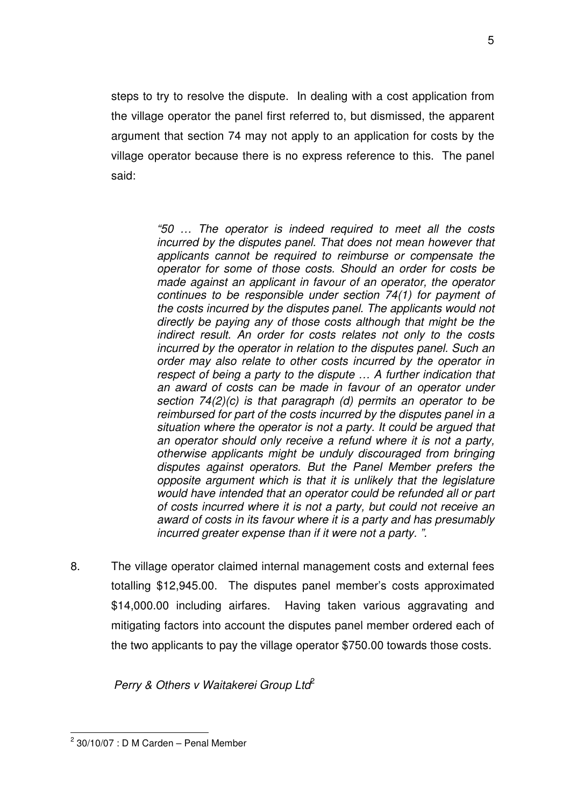steps to try to resolve the dispute. In dealing with a cost application from the village operator the panel first referred to, but dismissed, the apparent argument that section 74 may not apply to an application for costs by the village operator because there is no express reference to this. The panel said:

> "50 … The operator is indeed required to meet all the costs incurred by the disputes panel. That does not mean however that applicants cannot be required to reimburse or compensate the operator for some of those costs. Should an order for costs be made against an applicant in favour of an operator, the operator continues to be responsible under section 74(1) for payment of the costs incurred by the disputes panel. The applicants would not directly be paying any of those costs although that might be the indirect result. An order for costs relates not only to the costs incurred by the operator in relation to the disputes panel. Such an order may also relate to other costs incurred by the operator in respect of being a party to the dispute … A further indication that an award of costs can be made in favour of an operator under section 74(2)(c) is that paragraph (d) permits an operator to be reimbursed for part of the costs incurred by the disputes panel in a situation where the operator is not a party. It could be argued that an operator should only receive a refund where it is not a party, otherwise applicants might be unduly discouraged from bringing disputes against operators. But the Panel Member prefers the opposite argument which is that it is unlikely that the legislature would have intended that an operator could be refunded all or part of costs incurred where it is not a party, but could not receive an award of costs in its favour where it is a party and has presumably incurred greater expense than if it were not a party. ".

8. The village operator claimed internal management costs and external fees totalling \$12,945.00. The disputes panel member's costs approximated \$14,000.00 including airfares. Having taken various aggravating and mitigating factors into account the disputes panel member ordered each of the two applicants to pay the village operator \$750.00 towards those costs.

Perry & Others v Waitakerei Group Ltd<sup>2</sup>

 2 30/10/07 : D M Carden – Penal Member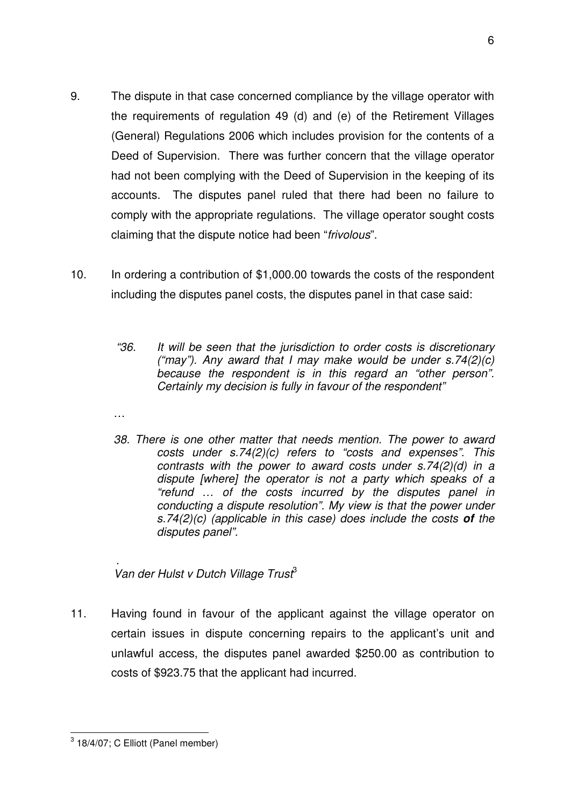- 9. The dispute in that case concerned compliance by the village operator with the requirements of regulation 49 (d) and (e) of the Retirement Villages (General) Regulations 2006 which includes provision for the contents of a Deed of Supervision. There was further concern that the village operator had not been complying with the Deed of Supervision in the keeping of its accounts. The disputes panel ruled that there had been no failure to comply with the appropriate regulations. The village operator sought costs claiming that the dispute notice had been "frivolous".
- 10. In ordering a contribution of \$1,000.00 towards the costs of the respondent including the disputes panel costs, the disputes panel in that case said:
	- "36. It will be seen that the jurisdiction to order costs is discretionary ("may"). Any award that I may make would be under  $s.74(2)(c)$ because the respondent is in this regard an "other person". Certainly my decision is fully in favour of the respondent"
	- …
	- 38. There is one other matter that needs mention. The power to award costs under s.74(2)(c) refers to "costs and expenses". This contrasts with the power to award costs under s.74(2)(d) in a dispute [where] the operator is not a party which speaks of a "refund … of the costs incurred by the disputes panel in conducting a dispute resolution". My view is that the power under s.74(2)(c) (applicable in this case) does include the costs **of** the disputes panel".

. Van der Hulst v Dutch Village Trust<sup>3</sup>

11. Having found in favour of the applicant against the village operator on certain issues in dispute concerning repairs to the applicant's unit and unlawful access, the disputes panel awarded \$250.00 as contribution to costs of \$923.75 that the applicant had incurred.

 3 18/4/07; C Elliott (Panel member)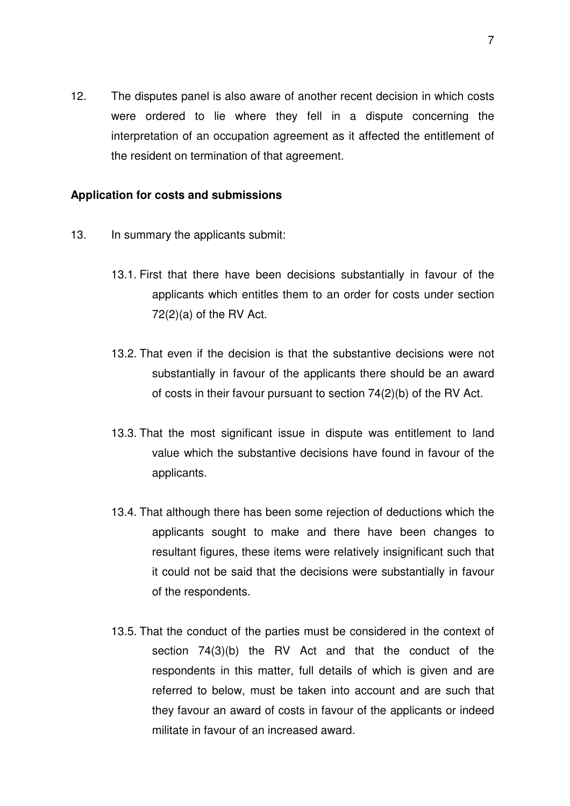12. The disputes panel is also aware of another recent decision in which costs were ordered to lie where they fell in a dispute concerning the interpretation of an occupation agreement as it affected the entitlement of the resident on termination of that agreement.

### **Application for costs and submissions**

- 13. In summary the applicants submit:
	- 13.1. First that there have been decisions substantially in favour of the applicants which entitles them to an order for costs under section  $72(2)(a)$  of the RV Act.
	- 13.2. That even if the decision is that the substantive decisions were not substantially in favour of the applicants there should be an award of costs in their favour pursuant to section 74(2)(b) of the RV Act.
	- 13.3. That the most significant issue in dispute was entitlement to land value which the substantive decisions have found in favour of the applicants.
	- 13.4. That although there has been some rejection of deductions which the applicants sought to make and there have been changes to resultant figures, these items were relatively insignificant such that it could not be said that the decisions were substantially in favour of the respondents.
	- 13.5. That the conduct of the parties must be considered in the context of section 74(3)(b) the RV Act and that the conduct of the respondents in this matter, full details of which is given and are referred to below, must be taken into account and are such that they favour an award of costs in favour of the applicants or indeed militate in favour of an increased award.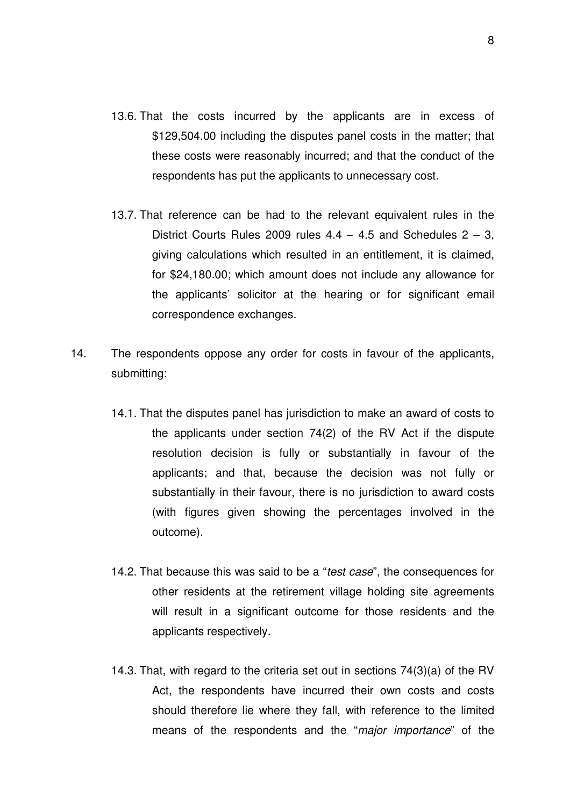- 13.6. That the costs incurred by the applicants are in excess of \$129,504.00 including the disputes panel costs in the matter; that these costs were reasonably incurred; and that the conduct of the respondents has put the applicants to unnecessary cost.
- 13.7. That reference can be had to the relevant equivalent rules in the District Courts Rules 2009 rules  $4.4 - 4.5$  and Schedules  $2 - 3$ , giving calculations which resulted in an entitlement, it is claimed, for \$24,180.00; which amount does not include any allowance for the applicants' solicitor at the hearing or for significant email correspondence exchanges.
- 14. The respondents oppose any order for costs in favour of the applicants, submitting:
	- 14.1. That the disputes panel has jurisdiction to make an award of costs to the applicants under section 74(2) of the RV Act if the dispute resolution decision is fully or substantially in favour of the applicants; and that, because the decision was not fully or substantially in their favour, there is no jurisdiction to award costs (with figures given showing the percentages involved in the outcome).
	- 14.2. That because this was said to be a "test case", the consequences for other residents at the retirement village holding site agreements will result in a significant outcome for those residents and the applicants respectively.
	- 14.3. That, with regard to the criteria set out in sections 74(3)(a) of the RV Act, the respondents have incurred their own costs and costs should therefore lie where they fall, with reference to the limited means of the respondents and the "major importance" of the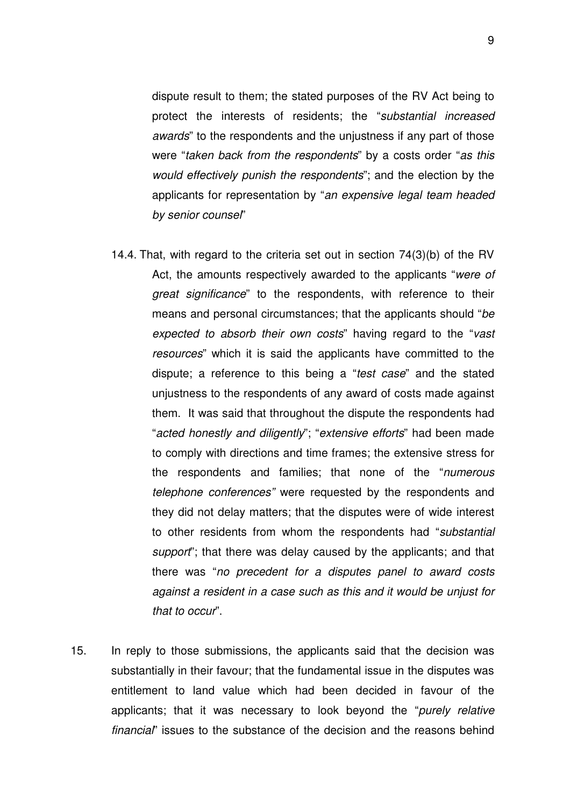dispute result to them; the stated purposes of the RV Act being to protect the interests of residents; the "substantial increased awards" to the respondents and the unjustness if any part of those were "taken back from the respondents" by a costs order "as this would effectively punish the respondents"; and the election by the applicants for representation by "an expensive legal team headed by senior counsel"

- 14.4. That, with regard to the criteria set out in section 74(3)(b) of the RV Act, the amounts respectively awarded to the applicants "were of great significance" to the respondents, with reference to their means and personal circumstances; that the applicants should "be expected to absorb their own costs" having regard to the "vast resources" which it is said the applicants have committed to the dispute; a reference to this being a "test case" and the stated unjustness to the respondents of any award of costs made against them. It was said that throughout the dispute the respondents had "acted honestly and diligently"; "extensive efforts" had been made to comply with directions and time frames; the extensive stress for the respondents and families; that none of the "numerous telephone conferences" were requested by the respondents and they did not delay matters; that the disputes were of wide interest to other residents from whom the respondents had "substantial support"; that there was delay caused by the applicants; and that there was "no precedent for a disputes panel to award costs against a resident in a case such as this and it would be unjust for that to occur".
- 15. In reply to those submissions, the applicants said that the decision was substantially in their favour; that the fundamental issue in the disputes was entitlement to land value which had been decided in favour of the applicants; that it was necessary to look beyond the "purely relative financial" issues to the substance of the decision and the reasons behind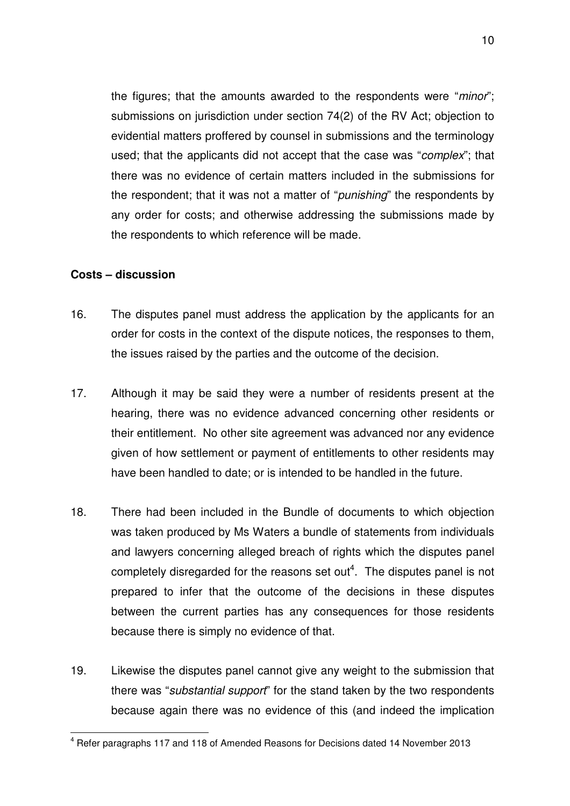the figures; that the amounts awarded to the respondents were "minor"; submissions on jurisdiction under section 74(2) of the RV Act; objection to evidential matters proffered by counsel in submissions and the terminology used; that the applicants did not accept that the case was "complex"; that there was no evidence of certain matters included in the submissions for the respondent; that it was not a matter of "punishing" the respondents by any order for costs; and otherwise addressing the submissions made by the respondents to which reference will be made.

### **Costs – discussion**

 $\overline{\phantom{a}}$ 

- 16. The disputes panel must address the application by the applicants for an order for costs in the context of the dispute notices, the responses to them, the issues raised by the parties and the outcome of the decision.
- 17. Although it may be said they were a number of residents present at the hearing, there was no evidence advanced concerning other residents or their entitlement. No other site agreement was advanced nor any evidence given of how settlement or payment of entitlements to other residents may have been handled to date; or is intended to be handled in the future.
- 18. There had been included in the Bundle of documents to which objection was taken produced by Ms Waters a bundle of statements from individuals and lawyers concerning alleged breach of rights which the disputes panel completely disregarded for the reasons set out<sup>4</sup>. The disputes panel is not prepared to infer that the outcome of the decisions in these disputes between the current parties has any consequences for those residents because there is simply no evidence of that.
- 19. Likewise the disputes panel cannot give any weight to the submission that there was "*substantial support*" for the stand taken by the two respondents because again there was no evidence of this (and indeed the implication

 $<sup>4</sup>$  Refer paragraphs 117 and 118 of Amended Reasons for Decisions dated 14 November 2013</sup>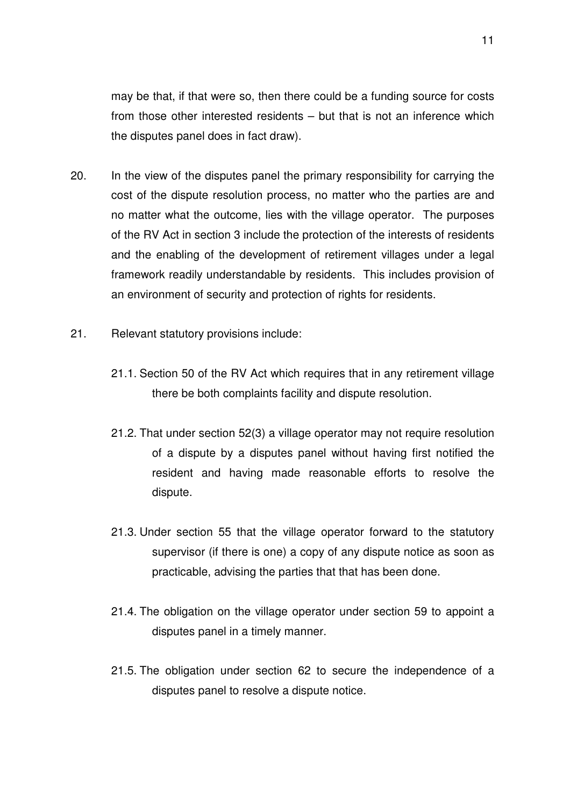may be that, if that were so, then there could be a funding source for costs from those other interested residents – but that is not an inference which the disputes panel does in fact draw).

- 20. In the view of the disputes panel the primary responsibility for carrying the cost of the dispute resolution process, no matter who the parties are and no matter what the outcome, lies with the village operator. The purposes of the RV Act in section 3 include the protection of the interests of residents and the enabling of the development of retirement villages under a legal framework readily understandable by residents. This includes provision of an environment of security and protection of rights for residents.
- 21. Relevant statutory provisions include:
	- 21.1. Section 50 of the RV Act which requires that in any retirement village there be both complaints facility and dispute resolution.
	- 21.2. That under section 52(3) a village operator may not require resolution of a dispute by a disputes panel without having first notified the resident and having made reasonable efforts to resolve the dispute.
	- 21.3. Under section 55 that the village operator forward to the statutory supervisor (if there is one) a copy of any dispute notice as soon as practicable, advising the parties that that has been done.
	- 21.4. The obligation on the village operator under section 59 to appoint a disputes panel in a timely manner.
	- 21.5. The obligation under section 62 to secure the independence of a disputes panel to resolve a dispute notice.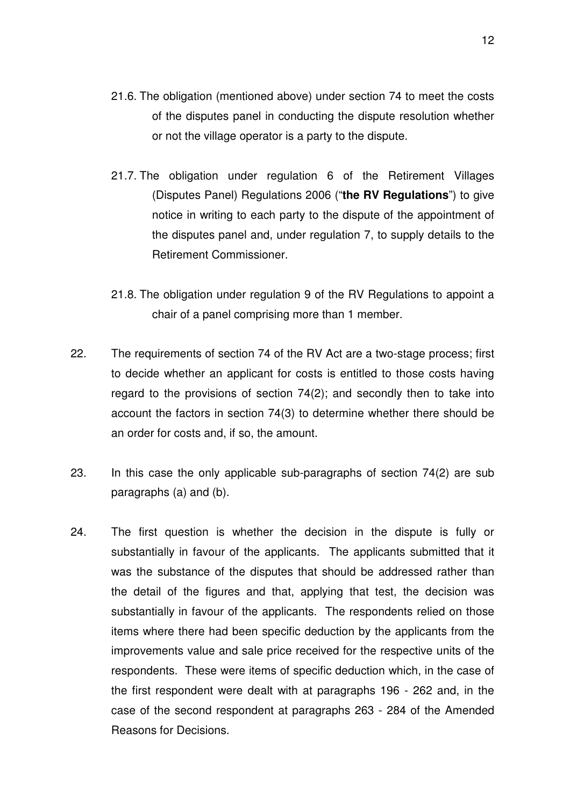- 21.6. The obligation (mentioned above) under section 74 to meet the costs of the disputes panel in conducting the dispute resolution whether or not the village operator is a party to the dispute.
- 21.7. The obligation under regulation 6 of the Retirement Villages (Disputes Panel) Regulations 2006 ("**the RV Regulations**") to give notice in writing to each party to the dispute of the appointment of the disputes panel and, under regulation 7, to supply details to the Retirement Commissioner.
- 21.8. The obligation under regulation 9 of the RV Regulations to appoint a chair of a panel comprising more than 1 member.
- 22. The requirements of section 74 of the RV Act are a two-stage process; first to decide whether an applicant for costs is entitled to those costs having regard to the provisions of section 74(2); and secondly then to take into account the factors in section 74(3) to determine whether there should be an order for costs and, if so, the amount.
- 23. In this case the only applicable sub-paragraphs of section 74(2) are sub paragraphs (a) and (b).
- 24. The first question is whether the decision in the dispute is fully or substantially in favour of the applicants. The applicants submitted that it was the substance of the disputes that should be addressed rather than the detail of the figures and that, applying that test, the decision was substantially in favour of the applicants. The respondents relied on those items where there had been specific deduction by the applicants from the improvements value and sale price received for the respective units of the respondents. These were items of specific deduction which, in the case of the first respondent were dealt with at paragraphs 196 - 262 and, in the case of the second respondent at paragraphs 263 - 284 of the Amended Reasons for Decisions.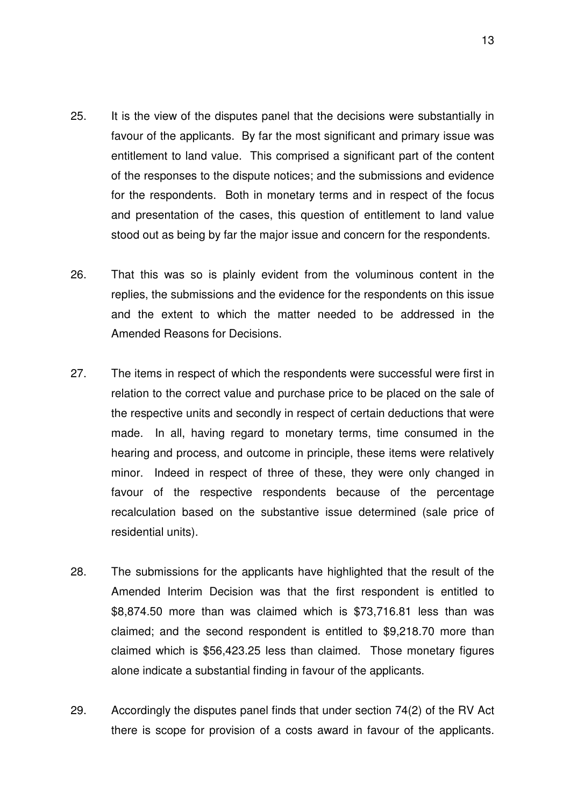- 25. It is the view of the disputes panel that the decisions were substantially in favour of the applicants. By far the most significant and primary issue was entitlement to land value. This comprised a significant part of the content of the responses to the dispute notices; and the submissions and evidence for the respondents. Both in monetary terms and in respect of the focus and presentation of the cases, this question of entitlement to land value stood out as being by far the major issue and concern for the respondents.
- 26. That this was so is plainly evident from the voluminous content in the replies, the submissions and the evidence for the respondents on this issue and the extent to which the matter needed to be addressed in the Amended Reasons for Decisions.
- 27. The items in respect of which the respondents were successful were first in relation to the correct value and purchase price to be placed on the sale of the respective units and secondly in respect of certain deductions that were made. In all, having regard to monetary terms, time consumed in the hearing and process, and outcome in principle, these items were relatively minor. Indeed in respect of three of these, they were only changed in favour of the respective respondents because of the percentage recalculation based on the substantive issue determined (sale price of residential units).
- 28. The submissions for the applicants have highlighted that the result of the Amended Interim Decision was that the first respondent is entitled to \$8,874.50 more than was claimed which is \$73,716.81 less than was claimed; and the second respondent is entitled to \$9,218.70 more than claimed which is \$56,423.25 less than claimed. Those monetary figures alone indicate a substantial finding in favour of the applicants.
- 29. Accordingly the disputes panel finds that under section 74(2) of the RV Act there is scope for provision of a costs award in favour of the applicants.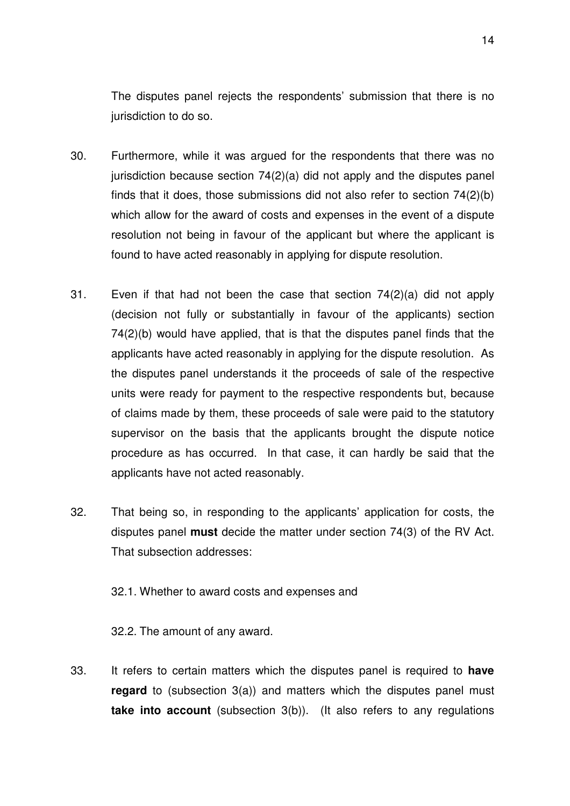The disputes panel rejects the respondents' submission that there is no jurisdiction to do so.

- 30. Furthermore, while it was argued for the respondents that there was no jurisdiction because section 74(2)(a) did not apply and the disputes panel finds that it does, those submissions did not also refer to section 74(2)(b) which allow for the award of costs and expenses in the event of a dispute resolution not being in favour of the applicant but where the applicant is found to have acted reasonably in applying for dispute resolution.
- 31. Even if that had not been the case that section 74(2)(a) did not apply (decision not fully or substantially in favour of the applicants) section 74(2)(b) would have applied, that is that the disputes panel finds that the applicants have acted reasonably in applying for the dispute resolution. As the disputes panel understands it the proceeds of sale of the respective units were ready for payment to the respective respondents but, because of claims made by them, these proceeds of sale were paid to the statutory supervisor on the basis that the applicants brought the dispute notice procedure as has occurred. In that case, it can hardly be said that the applicants have not acted reasonably.
- 32. That being so, in responding to the applicants' application for costs, the disputes panel **must** decide the matter under section 74(3) of the RV Act. That subsection addresses:

32.1. Whether to award costs and expenses and

32.2. The amount of any award.

33. It refers to certain matters which the disputes panel is required to **have regard** to (subsection 3(a)) and matters which the disputes panel must **take into account** (subsection 3(b)). (It also refers to any regulations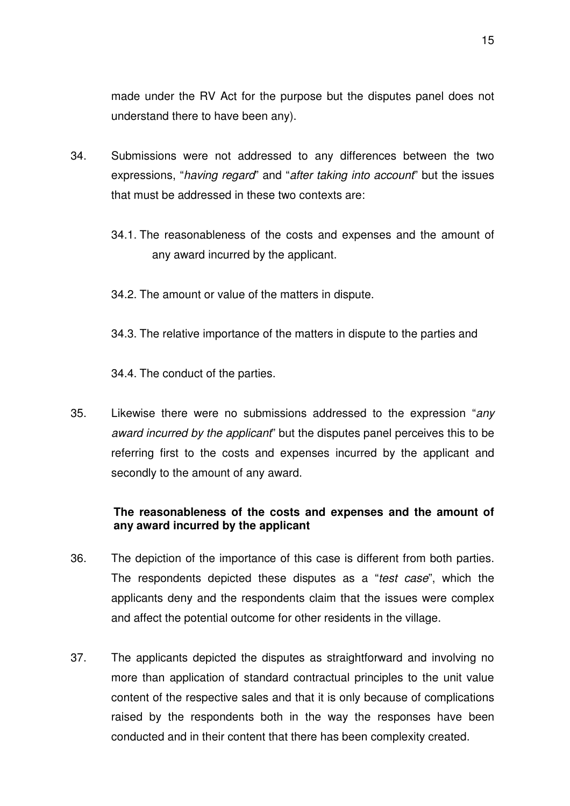made under the RV Act for the purpose but the disputes panel does not understand there to have been any).

- 34. Submissions were not addressed to any differences between the two expressions, "*having regard*" and "after taking into account" but the issues that must be addressed in these two contexts are:
	- 34.1. The reasonableness of the costs and expenses and the amount of any award incurred by the applicant.
	- 34.2. The amount or value of the matters in dispute.
	- 34.3. The relative importance of the matters in dispute to the parties and

34.4. The conduct of the parties.

35. Likewise there were no submissions addressed to the expression "any award incurred by the applicant" but the disputes panel perceives this to be referring first to the costs and expenses incurred by the applicant and secondly to the amount of any award.

## **The reasonableness of the costs and expenses and the amount of any award incurred by the applicant**

- 36. The depiction of the importance of this case is different from both parties. The respondents depicted these disputes as a "test case", which the applicants deny and the respondents claim that the issues were complex and affect the potential outcome for other residents in the village.
- 37. The applicants depicted the disputes as straightforward and involving no more than application of standard contractual principles to the unit value content of the respective sales and that it is only because of complications raised by the respondents both in the way the responses have been conducted and in their content that there has been complexity created.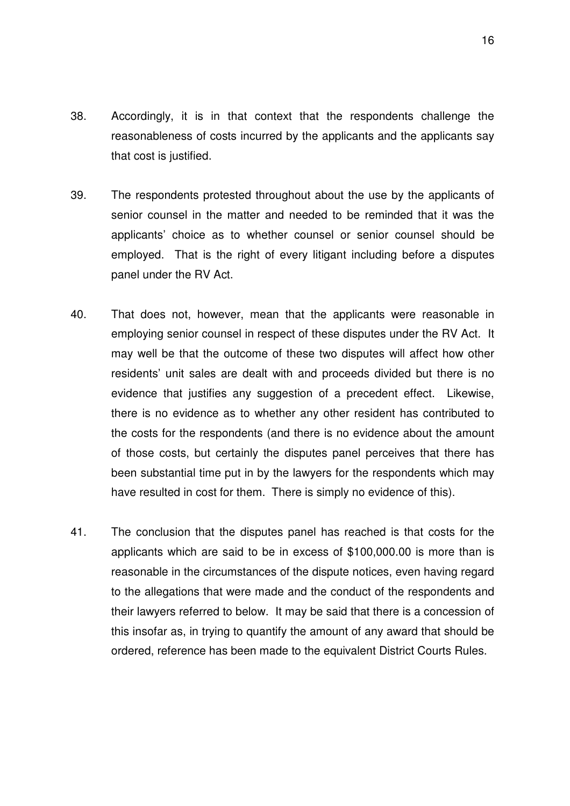- 38. Accordingly, it is in that context that the respondents challenge the reasonableness of costs incurred by the applicants and the applicants say that cost is justified.
- 39. The respondents protested throughout about the use by the applicants of senior counsel in the matter and needed to be reminded that it was the applicants' choice as to whether counsel or senior counsel should be employed. That is the right of every litigant including before a disputes panel under the RV Act.
- 40. That does not, however, mean that the applicants were reasonable in employing senior counsel in respect of these disputes under the RV Act. It may well be that the outcome of these two disputes will affect how other residents' unit sales are dealt with and proceeds divided but there is no evidence that justifies any suggestion of a precedent effect. Likewise, there is no evidence as to whether any other resident has contributed to the costs for the respondents (and there is no evidence about the amount of those costs, but certainly the disputes panel perceives that there has been substantial time put in by the lawyers for the respondents which may have resulted in cost for them. There is simply no evidence of this).
- 41. The conclusion that the disputes panel has reached is that costs for the applicants which are said to be in excess of \$100,000.00 is more than is reasonable in the circumstances of the dispute notices, even having regard to the allegations that were made and the conduct of the respondents and their lawyers referred to below. It may be said that there is a concession of this insofar as, in trying to quantify the amount of any award that should be ordered, reference has been made to the equivalent District Courts Rules.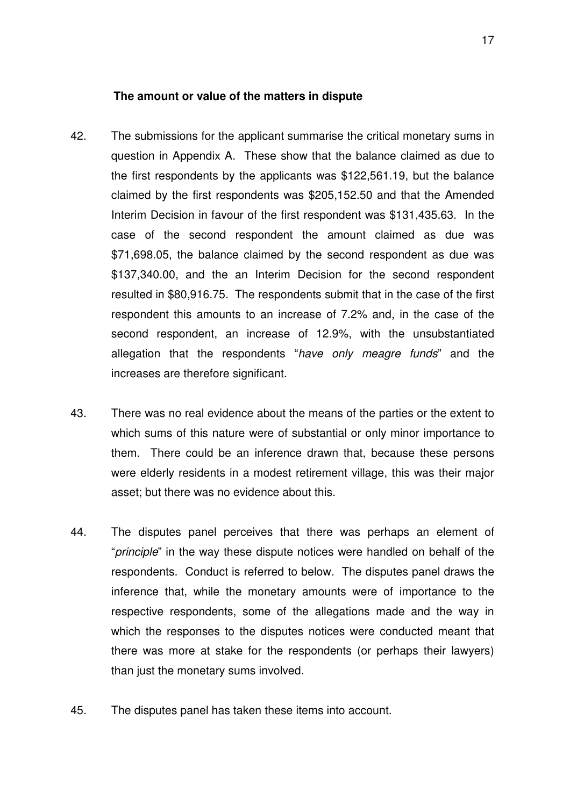#### **The amount or value of the matters in dispute**

- 42. The submissions for the applicant summarise the critical monetary sums in question in Appendix A. These show that the balance claimed as due to the first respondents by the applicants was \$122,561.19, but the balance claimed by the first respondents was \$205,152.50 and that the Amended Interim Decision in favour of the first respondent was \$131,435.63. In the case of the second respondent the amount claimed as due was \$71,698.05, the balance claimed by the second respondent as due was \$137,340.00, and the an Interim Decision for the second respondent resulted in \$80,916.75. The respondents submit that in the case of the first respondent this amounts to an increase of 7.2% and, in the case of the second respondent, an increase of 12.9%, with the unsubstantiated allegation that the respondents "have only meagre funds" and the increases are therefore significant.
- 43. There was no real evidence about the means of the parties or the extent to which sums of this nature were of substantial or only minor importance to them. There could be an inference drawn that, because these persons were elderly residents in a modest retirement village, this was their major asset; but there was no evidence about this.
- 44. The disputes panel perceives that there was perhaps an element of "*principle*" in the way these dispute notices were handled on behalf of the respondents. Conduct is referred to below. The disputes panel draws the inference that, while the monetary amounts were of importance to the respective respondents, some of the allegations made and the way in which the responses to the disputes notices were conducted meant that there was more at stake for the respondents (or perhaps their lawyers) than just the monetary sums involved.
- 45. The disputes panel has taken these items into account.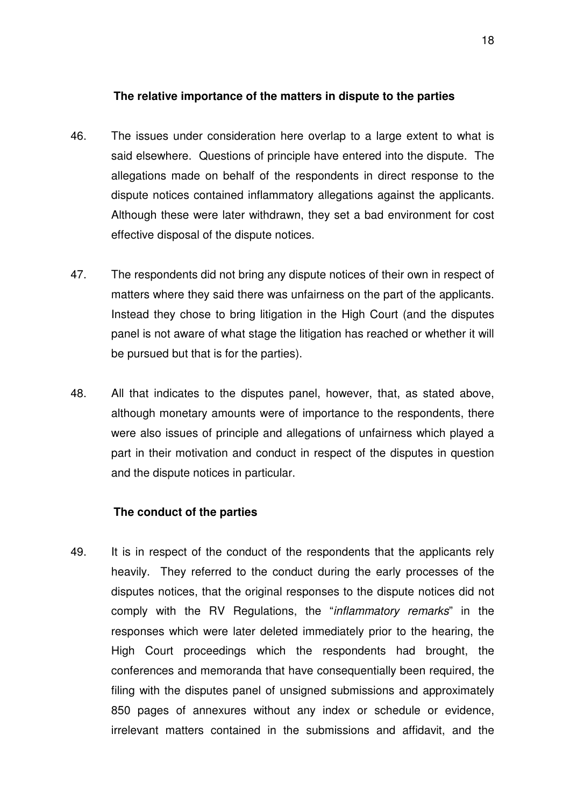## **The relative importance of the matters in dispute to the parties**

- 46. The issues under consideration here overlap to a large extent to what is said elsewhere. Questions of principle have entered into the dispute. The allegations made on behalf of the respondents in direct response to the dispute notices contained inflammatory allegations against the applicants. Although these were later withdrawn, they set a bad environment for cost effective disposal of the dispute notices.
- 47. The respondents did not bring any dispute notices of their own in respect of matters where they said there was unfairness on the part of the applicants. Instead they chose to bring litigation in the High Court (and the disputes panel is not aware of what stage the litigation has reached or whether it will be pursued but that is for the parties).
- 48. All that indicates to the disputes panel, however, that, as stated above, although monetary amounts were of importance to the respondents, there were also issues of principle and allegations of unfairness which played a part in their motivation and conduct in respect of the disputes in question and the dispute notices in particular.

## **The conduct of the parties**

49. It is in respect of the conduct of the respondents that the applicants rely heavily. They referred to the conduct during the early processes of the disputes notices, that the original responses to the dispute notices did not comply with the RV Regulations, the "*inflammatory remarks*" in the responses which were later deleted immediately prior to the hearing, the High Court proceedings which the respondents had brought, the conferences and memoranda that have consequentially been required, the filing with the disputes panel of unsigned submissions and approximately 850 pages of annexures without any index or schedule or evidence, irrelevant matters contained in the submissions and affidavit, and the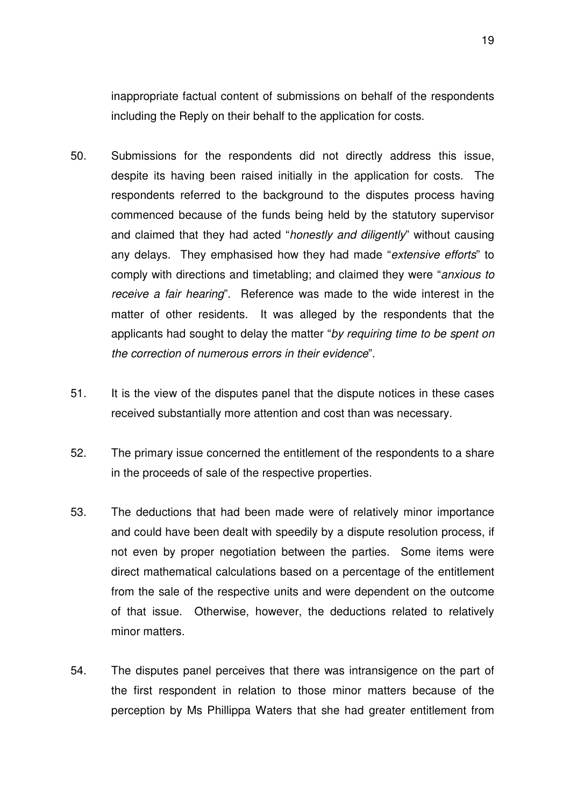inappropriate factual content of submissions on behalf of the respondents including the Reply on their behalf to the application for costs.

- 50. Submissions for the respondents did not directly address this issue, despite its having been raised initially in the application for costs. The respondents referred to the background to the disputes process having commenced because of the funds being held by the statutory supervisor and claimed that they had acted "honestly and diligently" without causing any delays. They emphasised how they had made "extensive efforts" to comply with directions and timetabling; and claimed they were "anxious to receive a fair hearing". Reference was made to the wide interest in the matter of other residents. It was alleged by the respondents that the applicants had sought to delay the matter "by requiring time to be spent on the correction of numerous errors in their evidence".
- 51. It is the view of the disputes panel that the dispute notices in these cases received substantially more attention and cost than was necessary.
- 52. The primary issue concerned the entitlement of the respondents to a share in the proceeds of sale of the respective properties.
- 53. The deductions that had been made were of relatively minor importance and could have been dealt with speedily by a dispute resolution process, if not even by proper negotiation between the parties. Some items were direct mathematical calculations based on a percentage of the entitlement from the sale of the respective units and were dependent on the outcome of that issue. Otherwise, however, the deductions related to relatively minor matters.
- 54. The disputes panel perceives that there was intransigence on the part of the first respondent in relation to those minor matters because of the perception by Ms Phillippa Waters that she had greater entitlement from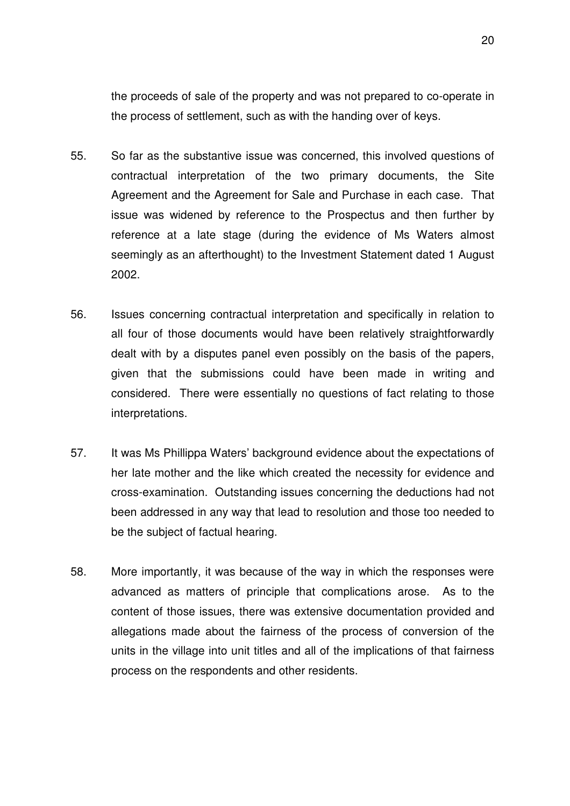the proceeds of sale of the property and was not prepared to co-operate in the process of settlement, such as with the handing over of keys.

- 55. So far as the substantive issue was concerned, this involved questions of contractual interpretation of the two primary documents, the Site Agreement and the Agreement for Sale and Purchase in each case. That issue was widened by reference to the Prospectus and then further by reference at a late stage (during the evidence of Ms Waters almost seemingly as an afterthought) to the Investment Statement dated 1 August 2002.
- 56. Issues concerning contractual interpretation and specifically in relation to all four of those documents would have been relatively straightforwardly dealt with by a disputes panel even possibly on the basis of the papers, given that the submissions could have been made in writing and considered. There were essentially no questions of fact relating to those interpretations.
- 57. It was Ms Phillippa Waters' background evidence about the expectations of her late mother and the like which created the necessity for evidence and cross-examination. Outstanding issues concerning the deductions had not been addressed in any way that lead to resolution and those too needed to be the subject of factual hearing.
- 58. More importantly, it was because of the way in which the responses were advanced as matters of principle that complications arose. As to the content of those issues, there was extensive documentation provided and allegations made about the fairness of the process of conversion of the units in the village into unit titles and all of the implications of that fairness process on the respondents and other residents.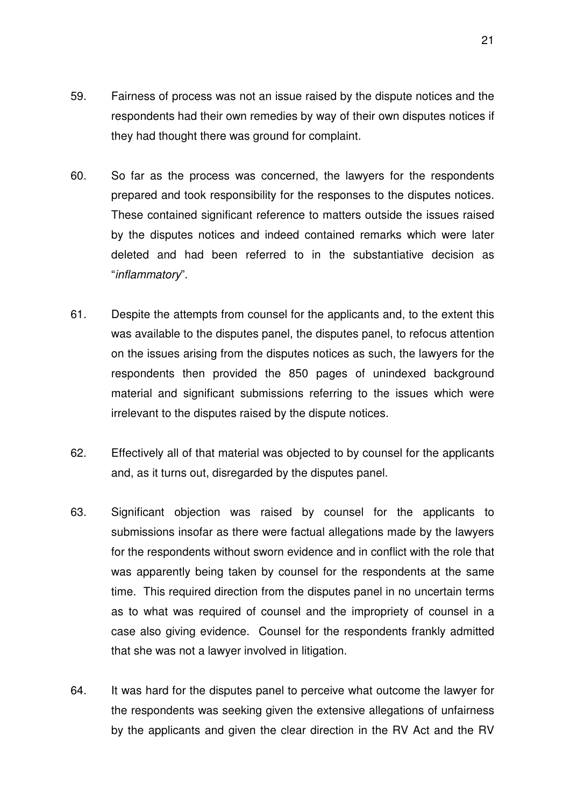- 59. Fairness of process was not an issue raised by the dispute notices and the respondents had their own remedies by way of their own disputes notices if they had thought there was ground for complaint.
- 60. So far as the process was concerned, the lawyers for the respondents prepared and took responsibility for the responses to the disputes notices. These contained significant reference to matters outside the issues raised by the disputes notices and indeed contained remarks which were later deleted and had been referred to in the substantiative decision as "inflammatory".
- 61. Despite the attempts from counsel for the applicants and, to the extent this was available to the disputes panel, the disputes panel, to refocus attention on the issues arising from the disputes notices as such, the lawyers for the respondents then provided the 850 pages of unindexed background material and significant submissions referring to the issues which were irrelevant to the disputes raised by the dispute notices.
- 62. Effectively all of that material was objected to by counsel for the applicants and, as it turns out, disregarded by the disputes panel.
- 63. Significant objection was raised by counsel for the applicants to submissions insofar as there were factual allegations made by the lawyers for the respondents without sworn evidence and in conflict with the role that was apparently being taken by counsel for the respondents at the same time. This required direction from the disputes panel in no uncertain terms as to what was required of counsel and the impropriety of counsel in a case also giving evidence. Counsel for the respondents frankly admitted that she was not a lawyer involved in litigation.
- 64. It was hard for the disputes panel to perceive what outcome the lawyer for the respondents was seeking given the extensive allegations of unfairness by the applicants and given the clear direction in the RV Act and the RV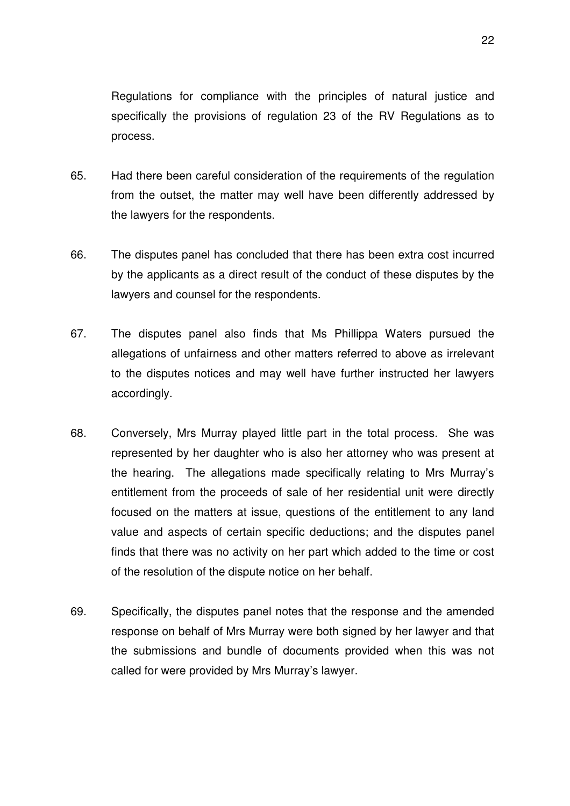Regulations for compliance with the principles of natural justice and specifically the provisions of regulation 23 of the RV Regulations as to process.

- 65. Had there been careful consideration of the requirements of the regulation from the outset, the matter may well have been differently addressed by the lawyers for the respondents.
- 66. The disputes panel has concluded that there has been extra cost incurred by the applicants as a direct result of the conduct of these disputes by the lawyers and counsel for the respondents.
- 67. The disputes panel also finds that Ms Phillippa Waters pursued the allegations of unfairness and other matters referred to above as irrelevant to the disputes notices and may well have further instructed her lawyers accordingly.
- 68. Conversely, Mrs Murray played little part in the total process. She was represented by her daughter who is also her attorney who was present at the hearing. The allegations made specifically relating to Mrs Murray's entitlement from the proceeds of sale of her residential unit were directly focused on the matters at issue, questions of the entitlement to any land value and aspects of certain specific deductions; and the disputes panel finds that there was no activity on her part which added to the time or cost of the resolution of the dispute notice on her behalf.
- 69. Specifically, the disputes panel notes that the response and the amended response on behalf of Mrs Murray were both signed by her lawyer and that the submissions and bundle of documents provided when this was not called for were provided by Mrs Murray's lawyer.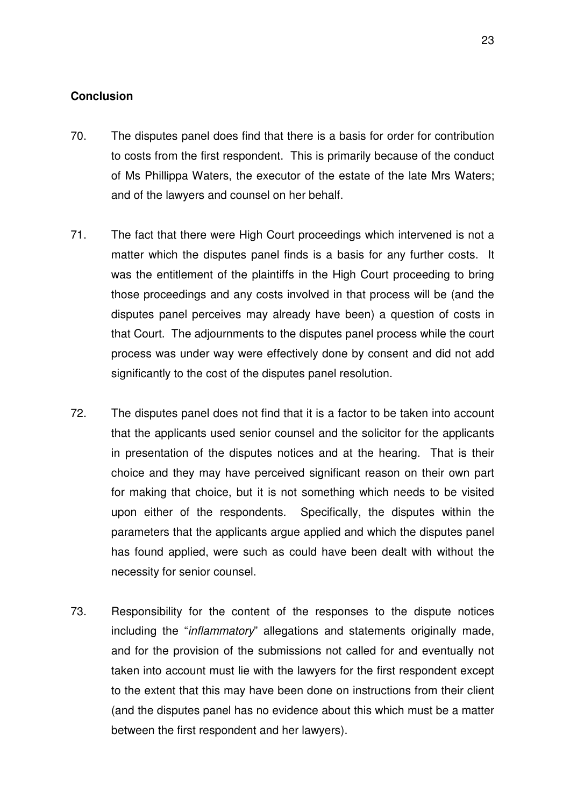### **Conclusion**

- 70. The disputes panel does find that there is a basis for order for contribution to costs from the first respondent. This is primarily because of the conduct of Ms Phillippa Waters, the executor of the estate of the late Mrs Waters; and of the lawyers and counsel on her behalf.
- 71. The fact that there were High Court proceedings which intervened is not a matter which the disputes panel finds is a basis for any further costs. It was the entitlement of the plaintiffs in the High Court proceeding to bring those proceedings and any costs involved in that process will be (and the disputes panel perceives may already have been) a question of costs in that Court. The adjournments to the disputes panel process while the court process was under way were effectively done by consent and did not add significantly to the cost of the disputes panel resolution.
- 72. The disputes panel does not find that it is a factor to be taken into account that the applicants used senior counsel and the solicitor for the applicants in presentation of the disputes notices and at the hearing. That is their choice and they may have perceived significant reason on their own part for making that choice, but it is not something which needs to be visited upon either of the respondents. Specifically, the disputes within the parameters that the applicants argue applied and which the disputes panel has found applied, were such as could have been dealt with without the necessity for senior counsel.
- 73. Responsibility for the content of the responses to the dispute notices including the "*inflammatory*" allegations and statements originally made, and for the provision of the submissions not called for and eventually not taken into account must lie with the lawyers for the first respondent except to the extent that this may have been done on instructions from their client (and the disputes panel has no evidence about this which must be a matter between the first respondent and her lawyers).